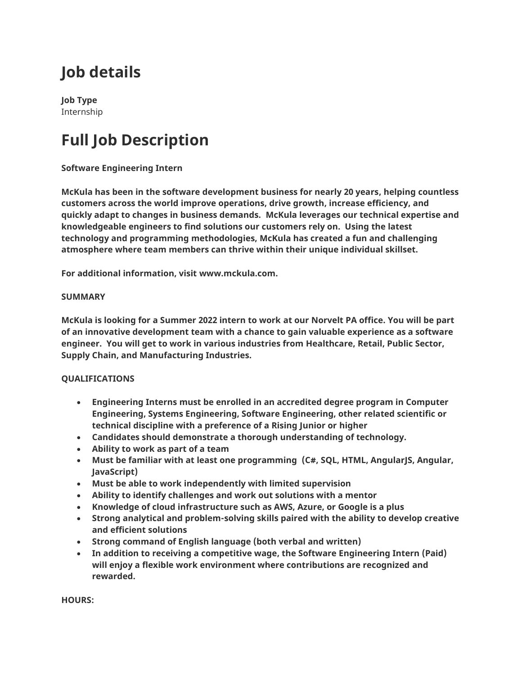## **Job details**

**Job Type** Internship

# **Full Job Description**

## **Software Engineering Intern**

**McKula has been in the software development business for nearly 20 years, helping countless customers across the world improve operations, drive growth, increase efficiency, and quickly adapt to changes in business demands. McKula leverages our technical expertise and knowledgeable engineers to find solutions our customers rely on. Using the latest technology and programming methodologies, McKula has created a fun and challenging atmosphere where team members can thrive within their unique individual skillset.**

**For additional information, visit www.mckula.com.**

### **SUMMARY**

**McKula is looking for a Summer 2022 intern to work at our Norvelt PA office. You will be part of an innovative development team with a chance to gain valuable experience as a software engineer. You will get to work in various industries from Healthcare, Retail, Public Sector, Supply Chain, and Manufacturing Industries.**

### **QUALIFICATIONS**

- **Engineering Interns must be enrolled in an accredited degree program in Computer Engineering, Systems Engineering, Software Engineering, other related scientific or technical discipline with a preference of a Rising Junior or higher**
- **Candidates should demonstrate a thorough understanding of technology.**
- **Ability to work as part of a team**
- Must be familiar with at least one programming (C#, SQL, HTML, AngularJS, Angular, **JavaScript)**
- **Must be able to work independently with limited supervision**
- **Ability to identify challenges and work out solutions with a mentor**
- **Knowledge of cloud infrastructure such as AWS, Azure, or Google is a plus**
- **Strong analytical and problem-solving skills paired with the ability to develop creative and efficient solutions**
- **Strong command of English language (both verbal and written)**
- **In addition to receiving a competitive wage, the Software Engineering Intern (Paid) will enjoy a flexible work environment where contributions are recognized and rewarded.**

**HOURS:**